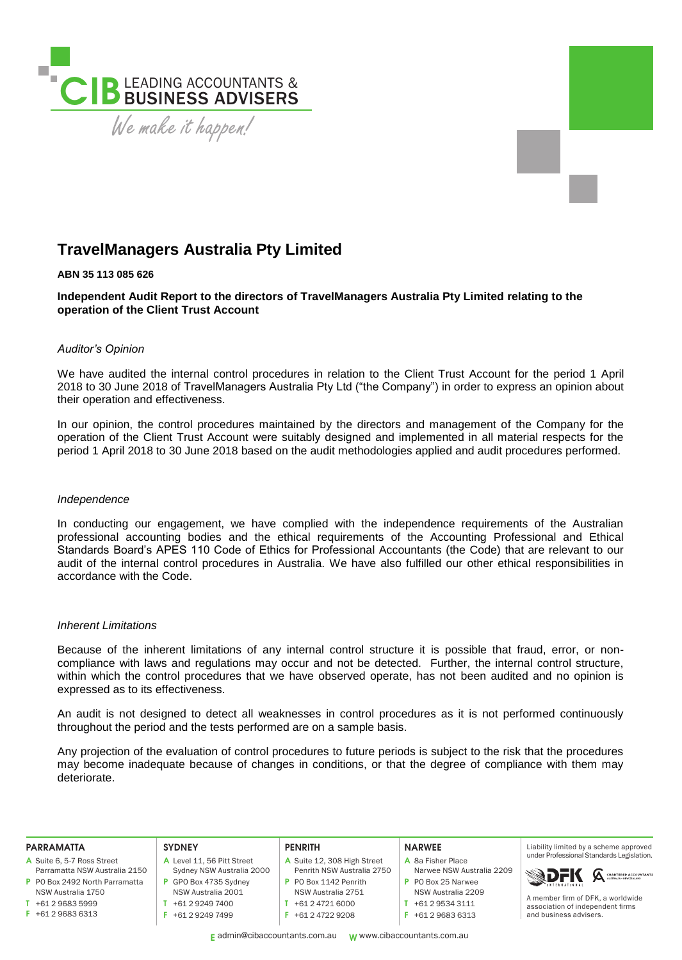

# **TravelManagers Australia Pty Limited**

# **ABN 35 113 085 626**

**Independent Audit Report to the directors of TravelManagers Australia Pty Limited relating to the operation of the Client Trust Account**

#### *Auditor's Opinion*

We have audited the internal control procedures in relation to the Client Trust Account for the period 1 April 2018 to 30 June 2018 of TravelManagers Australia Pty Ltd ("the Company") in order to express an opinion about their operation and effectiveness.

In our opinion, the control procedures maintained by the directors and management of the Company for the operation of the Client Trust Account were suitably designed and implemented in all material respects for the period 1 April 2018 to 30 June 2018 based on the audit methodologies applied and audit procedures performed.

#### *Independence*

In conducting our engagement, we have complied with the independence requirements of the Australian professional accounting bodies and the ethical requirements of the Accounting Professional and Ethical Standards Board's APES 110 Code of Ethics for Professional Accountants (the Code) that are relevant to our audit of the internal control procedures in Australia. We have also fulfilled our other ethical responsibilities in accordance with the Code.

## *Inherent Limitations*

Because of the inherent limitations of any internal control structure it is possible that fraud, error, or noncompliance with laws and regulations may occur and not be detected. Further, the internal control structure, within which the control procedures that we have observed operate, has not been audited and no opinion is expressed as to its effectiveness.

An audit is not designed to detect all weaknesses in control procedures as it is not performed continuously throughout the period and the tests performed are on a sample basis.

Any projection of the evaluation of control procedures to future periods is subject to the risk that the procedures may become inadequate because of changes in conditions, or that the degree of compliance with them may deteriorate.

| <b>PARRAMATTA</b>              | <b>SYDNEY</b>              | <b>PENRITH</b>              | <b>NARWEE</b>             | Liability limited by a scheme approved                                                          |
|--------------------------------|----------------------------|-----------------------------|---------------------------|-------------------------------------------------------------------------------------------------|
| A Suite 6, 5-7 Ross Street     | A Level 11, 56 Pitt Street | A Suite 12, 308 High Street | A 8a Fisher Place         | under Professional Standards Legislation.                                                       |
| Parramatta NSW Australia 2150  | Sydney NSW Australia 2000  | Penrith NSW Australia 2750  | Narwee NSW Australia 2209 |                                                                                                 |
| P PO Box 2492 North Parramatta | GPO Box 4735 Sydney        | P PO Box 1142 Penrith       | P PO Box 25 Narwee        | <b>SDFK A CHARTERD ACCOUNTANTS</b>                                                              |
| NSW Australia 1750             | NSW Australia 2001         | NSW Australia 2751          | NSW Australia 2209        |                                                                                                 |
| +61 2 9683 5999                | +61 2 9249 7400            | +61 2 4721 6000             | +61 2 9534 3111           | A member firm of DFK, a worldwide<br>association of independent firms<br>and business advisers. |
| $F + 61296836313$              | +61 2 9249 7499            | $F + 61247229208$           | +61 2 9683 6313           |                                                                                                 |